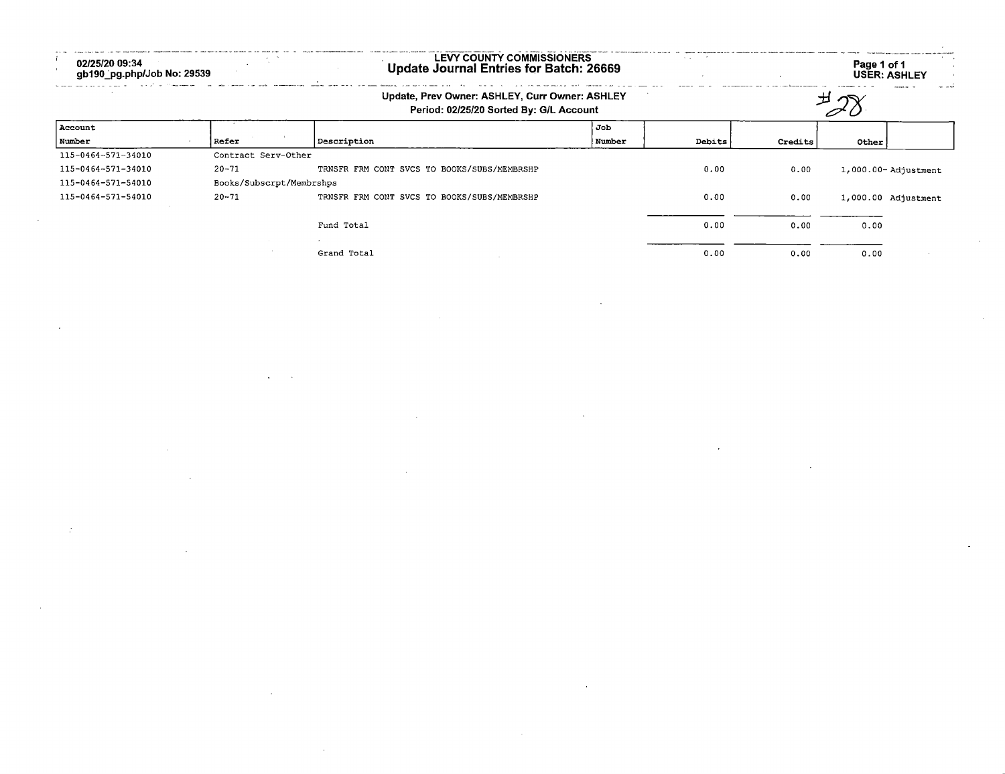| 02/25/20 09:34<br>gb190_pg.php/Job No: 29539 |                          | LEVY COUNTY COMMISSIONERS<br>Update Journal Entries for Batch: 26669                      |        |        |         | Page 1 of 1 | <b>USER: ASHLEY</b>     |
|----------------------------------------------|--------------------------|-------------------------------------------------------------------------------------------|--------|--------|---------|-------------|-------------------------|
|                                              |                          | Update, Prev Owner: ASHLEY, Curr Owner: ASHLEY<br>Period: 02/25/20 Sorted By: G/L Account |        |        | ᅯ       |             |                         |
| Account                                      |                          |                                                                                           | Job    |        |         |             |                         |
| Number                                       | <b>Refer</b>             | Description                                                                               | Number | Debits | Credits | Other       |                         |
| 115-0464-571-34010                           | Contract Serv-Other      |                                                                                           |        |        |         |             |                         |
| 115-0464-571-34010                           | $20 - 71$                | TRNSFR FRM CONT SVCS TO BOOKS/SUBS/MEMBRSHP                                               |        | 0.00   | 0.00    |             | $1,000.00 -$ Adjustment |
| 115-0464-571-54010                           | Books/Subscrpt/Membrshps |                                                                                           |        |        |         |             |                         |
| 115-0464-571-54010                           | $20 - 71$                | TRNSFR FRM CONT SVCS TO BOOKS/SUBS/MEMBRSHP                                               |        | 0.00   | 0.00    |             | 1,000.00 Adjustment     |
|                                              |                          | Fund Total                                                                                |        | 0.00   | 0.00    | 0.00        |                         |
|                                              |                          | Grand Total                                                                               |        | 0.00   | 0.00    | 0.00        |                         |